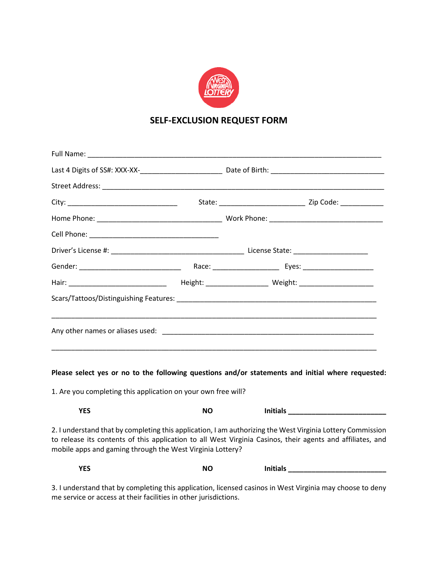

## **SELF-EXCLUSION REQUEST FORM**

| 1. Are you completing this application on your own free will? |           | Please select yes or no to the following questions and/or statements and initial where requested:                                                                                                                        |  |
|---------------------------------------------------------------|-----------|--------------------------------------------------------------------------------------------------------------------------------------------------------------------------------------------------------------------------|--|
| <b>YES</b>                                                    | <b>NO</b> | Initials <b>All Accounts and Accounts</b> and Accounts and Accounts and Accounts and Accounts and Accounts are also a                                                                                                    |  |
| mobile apps and gaming through the West Virginia Lottery?     |           | 2. I understand that by completing this application, I am authorizing the West Virginia Lottery Commission<br>to release its contents of this application to all West Virginia Casinos, their agents and affiliates, and |  |

| <b>YES</b> | ΝC<br>$\sim$ | <b>Initials</b><br>____ |
|------------|--------------|-------------------------|
|------------|--------------|-------------------------|

3. I understand that by completing this application, licensed casinos in West Virginia may choose to deny me service or access at their facilities in other jurisdictions.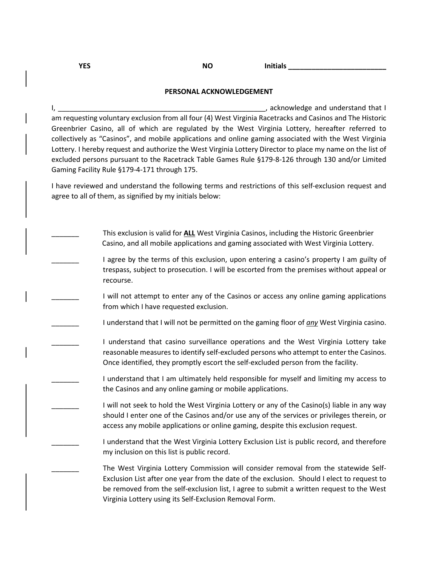**YES NO** Initials **\_\_\_\_\_\_\_\_\_\_\_** 

# **PERSONAL ACKNOWLEDGEMENT**

I, \_\_\_\_\_\_\_\_\_\_\_\_\_\_\_\_\_\_\_\_\_\_\_\_\_\_\_\_\_\_\_\_\_\_\_\_\_\_\_\_\_\_\_\_\_\_\_\_\_\_\_\_\_, acknowledge and understand that I am requesting voluntary exclusion from all four (4) West Virginia Racetracks and Casinos and The Historic Greenbrier Casino, all of which are regulated by the West Virginia Lottery, hereafter referred to collectively as "Casinos", and mobile applications and online gaming associated with the West Virginia Lottery. I hereby request and authorize the West Virginia Lottery Director to place my name on the list of excluded persons pursuant to the Racetrack Table Games Rule §179-8-126 through 130 and/or Limited Gaming Facility Rule §179-4-171 through 175.

I have reviewed and understand the following terms and restrictions of this self-exclusion request and agree to all of them, as signified by my initials below:

| This exclusion is valid for ALL West Virginia Casinos, including the Historic Greenbrier<br>Casino, and all mobile applications and gaming associated with West Virginia Lottery.                                                                                                                                                        |
|------------------------------------------------------------------------------------------------------------------------------------------------------------------------------------------------------------------------------------------------------------------------------------------------------------------------------------------|
|                                                                                                                                                                                                                                                                                                                                          |
| I agree by the terms of this exclusion, upon entering a casino's property I am guilty of<br>trespass, subject to prosecution. I will be escorted from the premises without appeal or<br>recourse.                                                                                                                                        |
| I will not attempt to enter any of the Casinos or access any online gaming applications<br>from which I have requested exclusion.                                                                                                                                                                                                        |
| I understand that I will not be permitted on the gaming floor of any West Virginia casino.                                                                                                                                                                                                                                               |
| I understand that casino surveillance operations and the West Virginia Lottery take<br>reasonable measures to identify self-excluded persons who attempt to enter the Casinos.<br>Once identified, they promptly escort the self-excluded person from the facility.                                                                      |
| I understand that I am ultimately held responsible for myself and limiting my access to<br>the Casinos and any online gaming or mobile applications.                                                                                                                                                                                     |
| I will not seek to hold the West Virginia Lottery or any of the Casino(s) liable in any way<br>should I enter one of the Casinos and/or use any of the services or privileges therein, or<br>access any mobile applications or online gaming, despite this exclusion request.                                                            |
| I understand that the West Virginia Lottery Exclusion List is public record, and therefore<br>my inclusion on this list is public record.                                                                                                                                                                                                |
| The West Virginia Lottery Commission will consider removal from the statewide Self-<br>Exclusion List after one year from the date of the exclusion. Should I elect to request to<br>be removed from the self-exclusion list, I agree to submit a written request to the West<br>Virginia Lottery using its Self-Exclusion Removal Form. |